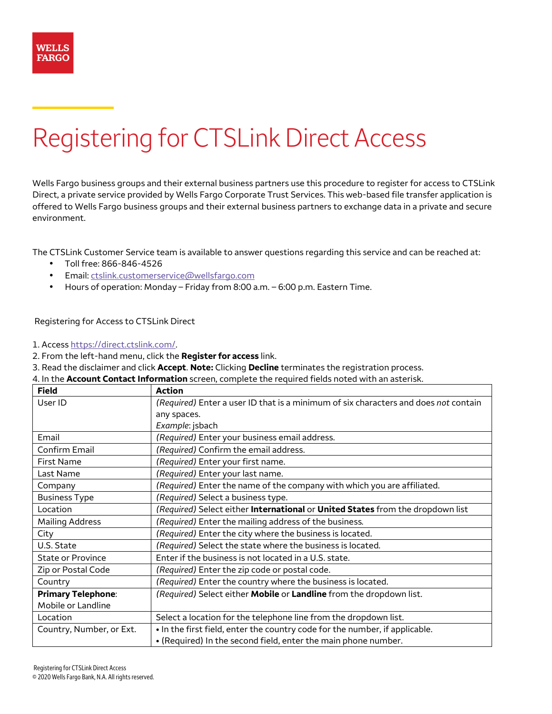# Registering for CTSLink Direct Access

Wells Fargo business groups and their external business partners use this procedure to register for access to CTSLink Direct, a private service provided by Wells Fargo Corporate Trust Services. This web-based file transfer application is offered to Wells Fargo business groups and their external business partners to exchange data in a private and secure environment.

The CTSLink Customer Service team is available to answer questions regarding this service and can be reached at:

- Toll free: 866-846-4526
- Email: ctslink.customerservice@wellsfargo.com
- Hours of operation: Monday Friday from 8:00 a.m. 6:00 p.m. Eastern Time.

## Registering for Access to CTSLink Direct

#### 1. Access https://direct.ctslink.com/.

- 2. From the left-hand menu, click the **Register for access** link.
- 3. Read the disclaimer and click **Accept**. **Note:** Clicking **Decline** terminates the registration process.

|   | 4. In the Account Contact Information screen, complete the required fields noted with an asterisk. |
|---|----------------------------------------------------------------------------------------------------|
| . |                                                                                                    |

| <b>Field</b>              | <b>Action</b>                                                                       |
|---------------------------|-------------------------------------------------------------------------------------|
| User ID                   | (Required) Enter a user ID that is a minimum of six characters and does not contain |
|                           | any spaces.                                                                         |
|                           | Example: jsbach                                                                     |
| Email                     | (Required) Enter your business email address.                                       |
| Confirm Email             | (Required) Confirm the email address.                                               |
| <b>First Name</b>         | (Required) Enter your first name.                                                   |
| Last Name                 | (Required) Enter your last name.                                                    |
| Company                   | (Required) Enter the name of the company with which you are affiliated.             |
| <b>Business Type</b>      | (Required) Select a business type.                                                  |
| Location                  | (Required) Select either International or United States from the dropdown list      |
| <b>Mailing Address</b>    | (Required) Enter the mailing address of the business.                               |
| City                      | (Required) Enter the city where the business is located.                            |
| U.S. State                | (Required) Select the state where the business is located.                          |
| <b>State or Province</b>  | Enter if the business is not located in a U.S. state.                               |
| Zip or Postal Code        | (Required) Enter the zip code or postal code.                                       |
| Country                   | (Required) Enter the country where the business is located.                         |
| <b>Primary Telephone:</b> | (Required) Select either Mobile or Landline from the dropdown list.                 |
| Mobile or Landline        |                                                                                     |
| Location                  | Select a location for the telephone line from the dropdown list.                    |
| Country, Number, or Ext.  | . In the first field, enter the country code for the number, if applicable.         |
|                           | . (Required) In the second field, enter the main phone number.                      |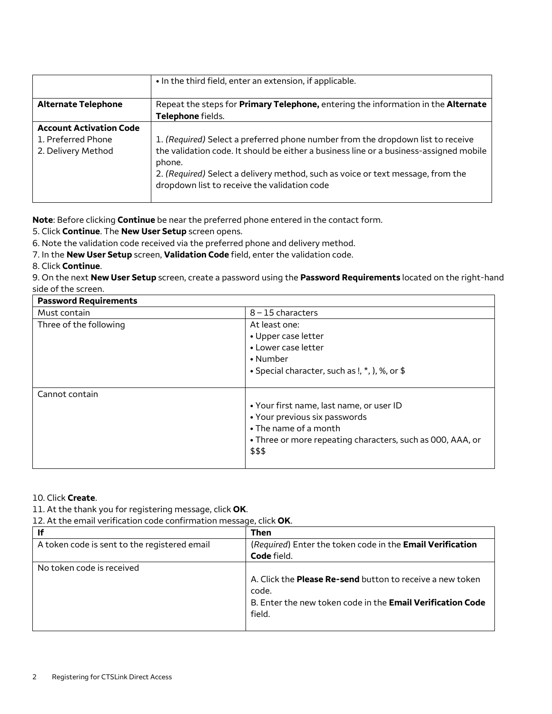|                                | • In the third field, enter an extension, if applicable.                                                                        |
|--------------------------------|---------------------------------------------------------------------------------------------------------------------------------|
| <b>Alternate Telephone</b>     | Repeat the steps for Primary Telephone, entering the information in the Alternate                                               |
|                                | Telephone fields.                                                                                                               |
| <b>Account Activation Code</b> |                                                                                                                                 |
| 1. Preferred Phone             | 1. (Required) Select a preferred phone number from the dropdown list to receive                                                 |
| 2. Delivery Method             | the validation code. It should be either a business line or a business-assigned mobile<br>phone.                                |
|                                | 2. (Required) Select a delivery method, such as voice or text message, from the<br>dropdown list to receive the validation code |

**Note**: Before clicking **Continue** be near the preferred phone entered in the contact form.

5. Click **Continue**. The **New User Setup** screen opens.

6. Note the validation code received via the preferred phone and delivery method.

7. In the **New User Setup** screen, **Validation Code** field, enter the validation code.

#### 8. Click **Continue**.

9. On the next **New User Setup** screen, create a password using the **Password Requirements** located on the right-hand side of the screen.

| <b>Password Requirements</b> |                                                                                                                                                                            |  |
|------------------------------|----------------------------------------------------------------------------------------------------------------------------------------------------------------------------|--|
| Must contain                 | $8 - 15$ characters                                                                                                                                                        |  |
| Three of the following       | At least one:<br>• Upper case letter<br>• Lower case letter<br>• Number<br>• Special character, such as !, *, ), %, or \$                                                  |  |
| Cannot contain               | • Your first name, last name, or user ID<br>• Your previous six passwords<br>• The name of a month<br>• Three or more repeating characters, such as 000, AAA, or<br>\$\$\$ |  |

## 10. Click **Create**.

11. At the thank you for registering message, click **OK**.

12. At the email verification code confirmation message, click **OK**.

| ١f                                           | <b>Then</b>                                                       |
|----------------------------------------------|-------------------------------------------------------------------|
| A token code is sent to the registered email | (Required) Enter the token code in the Email Verification         |
|                                              | Code field.                                                       |
| No token code is received                    |                                                                   |
|                                              | A. Click the <b>Please Re-send</b> button to receive a new token  |
|                                              | code.                                                             |
|                                              | B. Enter the new token code in the <b>Email Verification Code</b> |
|                                              | field.                                                            |
|                                              |                                                                   |